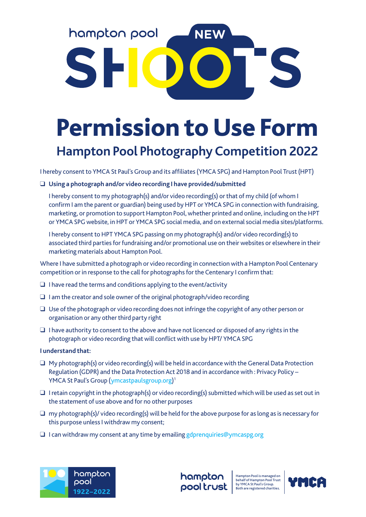## hampton pool NEW

## Permission to Use Form **Hampton Pool Photography Competition 2022**

I hereby consent to YMCA St Paul's Group and its affiliates (YMCA SPG) and Hampton Pool Trust (HPT)

## ❑ **Using a photograph and/or video recording I have provided/submitted**

 I hereby consent to my photograph(s) and/or video recording(s) or that of my child (of whom I confirm I am the parent or guardian) being used by HPT or YMCA SPG in connection with fundraising, marketing, or promotion to support Hampton Pool, whether printed and online, including on the HPT or YMCA SPG website, in HPT or YMCA SPG social media, and on external social media sites/platforms.

 I hereby consent to HPT YMCA SPG passing on my photograph(s) and/or video recording(s) to associated third parties for fundraising and/or promotional use on their websites or elsewhere in their marketing materials about Hampton Pool.

Where I have submitted a photograph or video recording in connection with a Hampton Pool Centenary competition or in response to the call for photographs for the Centenary I confirm that:

- $\Box$  I have read the terms and conditions applying to the event/activity
- ❑ I am the creator and sole owner of the original photograph/video recording
- ❑ Use of the photograph or video recording does not infringe the copyright of any other person or organisation or any other third party right
- $\Box$  I have authority to consent to the above and have not licenced or disposed of any rights in the photograph or video recording that will conflict with use by HPT/ YMCA SPG

## **I understand that:**

- $\Box$  My photograph(s) or video recording(s) will be held in accordance with the General Data Protection Regulation (GDPR) and the Data Protection Act 2018 and in accordance with : Privacy Policy – YMCA St Paul's Group (ymcastpaulsgroup.org) 1
- ❑ I retain copyright in the photograph(s) or video recording(s) submitted which will be used as set out in the statement of use above and for no other purposes
- ❑ my photograph(s)/ video recording(s) will be held for the above purpose for as long as is necessary for this purpose unless I withdraw my consent;
- ❑ I can withdraw my consent at any time by emailing gdprenquiries@ymcaspg.org